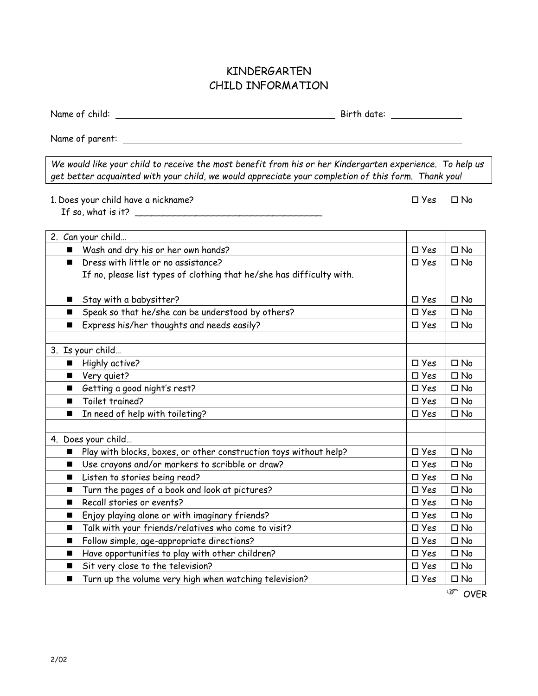## KINDERGARTEN CHILD INFORMATION

Name of child: Birth date:

 $\Box$  Yes  $\Box$  No

Name of parent:

*We would like your child to receive the most benefit from his or her Kindergarten experience. To help us get better acquainted with your child, we would appreciate your completion of this form. Thank you!*

1. Does your child have a nickname?

If so, what is it?  $\overline{\phantom{a}}$ 

| 2. Can your child                                                        |               |              |
|--------------------------------------------------------------------------|---------------|--------------|
| Wash and dry his or her own hands?                                       | $\square$ Yes | $\Box$ No    |
| Dress with little or no assistance?                                      | $\square$ Yes | $\Box$ No    |
| If no, please list types of clothing that he/she has difficulty with.    |               |              |
|                                                                          |               |              |
| Stay with a babysitter?                                                  | $\square$ Yes | $\square$ No |
| Speak so that he/she can be understood by others?<br>■                   | $\square$ Yes | $\square$ No |
| Express his/her thoughts and needs easily?<br>п                          | $\square$ Yes | $\square$ No |
|                                                                          |               |              |
| 3. Is your child                                                         |               |              |
| Highly active?<br>$\blacksquare$                                         | $\square$ Yes | $\square$ No |
| Very quiet?<br>$\blacksquare$                                            | $\square$ Yes | $\square$ No |
| Getting a good night's rest?<br>$\blacksquare$                           | $\square$ Yes | $\square$ No |
| Toilet trained?                                                          | $\square$ Yes | $\square$ No |
| In need of help with toileting?<br>■                                     | $\square$ Yes | $\square$ No |
|                                                                          |               |              |
| 4. Does your child                                                       |               |              |
| Play with blocks, boxes, or other construction toys without help?<br>■   | $\square$ Yes | $\square$ No |
| Use crayons and/or markers to scribble or draw?<br>$\blacksquare$        | $\square$ Yes | $\square$ No |
| Listen to stories being read?<br>п                                       | $\square$ Yes | $\square$ No |
| Turn the pages of a book and look at pictures?<br>■                      | $\square$ Yes | $\square$ No |
| Recall stories or events?                                                | $\square$ Yes | $\square$ No |
| Enjoy playing alone or with imaginary friends?                           | $\square$ Yes | $\square$ No |
| Talk with your friends/relatives who come to visit?<br>■                 | $\square$ Yes | $\square$ No |
| Follow simple, age-appropriate directions?                               | $\square$ Yes | $\square$ No |
| Have opportunities to play with other children?<br>п                     | $\square$ Yes | $\square$ No |
| Sit very close to the television?<br>■                                   | $\square$ Yes | $\square$ No |
| Turn up the volume very high when watching television?<br>$\blacksquare$ | $\square$ Yes | $\square$ No |